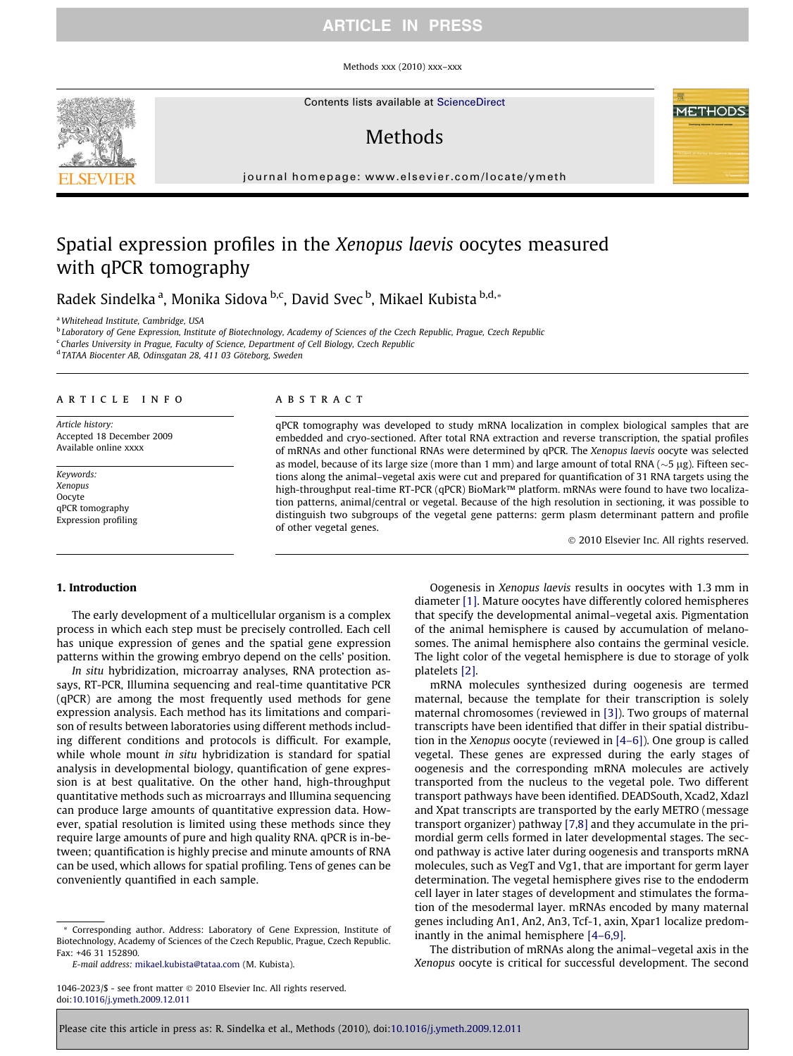# ARTICLE IN PRESS

Methods xxx (2010) xxx–xxx

Contents lists available at [ScienceDirect](http://www.sciencedirect.com/science/journal/10462023)

# **Methods**

journal homepage: [www.elsevier.com/locate/ymeth](http://www.elsevier.com/locate/ymeth)

# Spatial expression profiles in the Xenopus laevis oocytes measured with qPCR tomography

Radek Sindelka <sup>a</sup>, Monika Sidova <sup>b,c</sup>, David Svec <sup>b</sup>, Mikael Kubista <sup>b,d,</sup>\*

<sup>a</sup>Whitehead Institute, Cambridge, USA

<sup>b</sup> Laboratory of Gene Expression, Institute of Biotechnology, Academy of Sciences of the Czech Republic, Prague, Czech Republic

<sup>c</sup> Charles University in Prague, Faculty of Science, Department of Cell Biology, Czech Republic

<sup>d</sup> TATAA Biocenter AB, Odinsgatan 28, 411 03 Göteborg, Sweden

## article info

Article history: Accepted 18 December 2009 Available online xxxx

Keywords: Xenopus **Oocyte** qPCR tomography Expression profiling

## **ABSTRACT**

qPCR tomography was developed to study mRNA localization in complex biological samples that are embedded and cryo-sectioned. After total RNA extraction and reverse transcription, the spatial profiles of mRNAs and other functional RNAs were determined by qPCR. The Xenopus laevis oocyte was selected as model, because of its large size (more than 1 mm) and large amount of total RNA ( $\sim$ 5 µg). Fifteen sections along the animal–vegetal axis were cut and prepared for quantification of 31 RNA targets using the high-throughput real-time RT-PCR (qPCR) BioMark™ platform. mRNAs were found to have two localization patterns, animal/central or vegetal. Because of the high resolution in sectioning, it was possible to distinguish two subgroups of the vegetal gene patterns: germ plasm determinant pattern and profile of other vegetal genes.

- 2010 Elsevier Inc. All rights reserved.

#### 1. Introduction

The early development of a multicellular organism is a complex process in which each step must be precisely controlled. Each cell has unique expression of genes and the spatial gene expression patterns within the growing embryo depend on the cells' position.

In situ hybridization, microarray analyses, RNA protection assays, RT-PCR, Illumina sequencing and real-time quantitative PCR (qPCR) are among the most frequently used methods for gene expression analysis. Each method has its limitations and comparison of results between laboratories using different methods including different conditions and protocols is difficult. For example, while whole mount in situ hybridization is standard for spatial analysis in developmental biology, quantification of gene expression is at best qualitative. On the other hand, high-throughput quantitative methods such as microarrays and Illumina sequencing can produce large amounts of quantitative expression data. However, spatial resolution is limited using these methods since they require large amounts of pure and high quality RNA. qPCR is in-between; quantification is highly precise and minute amounts of RNA can be used, which allows for spatial profiling. Tens of genes can be conveniently quantified in each sample.

\* Corresponding author. Address: Laboratory of Gene Expression, Institute of Biotechnology, Academy of Sciences of the Czech Republic, Prague, Czech Republic. Fax: +46 31 152890.

E-mail address: [mikael.kubista@tataa.com](mailto:mikael.kubista@tataa.com) (M. Kubista).

Oogenesis in Xenopus laevis results in oocytes with 1.3 mm in diameter [\[1\]](#page-4-0). Mature oocytes have differently colored hemispheres that specify the developmental animal–vegetal axis. Pigmentation of the animal hemisphere is caused by accumulation of melanosomes. The animal hemisphere also contains the germinal vesicle. The light color of the vegetal hemisphere is due to storage of yolk platelets [\[2\]](#page-4-0).

mRNA molecules synthesized during oogenesis are termed maternal, because the template for their transcription is solely maternal chromosomes (reviewed in [\[3\]](#page-4-0)). Two groups of maternal transcripts have been identified that differ in their spatial distribution in the Xenopus oocyte (reviewed in [\[4–6\]](#page-4-0)). One group is called vegetal. These genes are expressed during the early stages of oogenesis and the corresponding mRNA molecules are actively transported from the nucleus to the vegetal pole. Two different transport pathways have been identified. DEADSouth, Xcad2, Xdazl and Xpat transcripts are transported by the early METRO (message transport organizer) pathway [\[7,8\]](#page-4-0) and they accumulate in the primordial germ cells formed in later developmental stages. The second pathway is active later during oogenesis and transports mRNA molecules, such as VegT and Vg1, that are important for germ layer determination. The vegetal hemisphere gives rise to the endoderm cell layer in later stages of development and stimulates the formation of the mesodermal layer. mRNAs encoded by many maternal genes including An1, An2, An3, Tcf-1, axin, Xpar1 localize predominantly in the animal hemisphere [\[4–6,9\]](#page-4-0).

The distribution of mRNAs along the animal–vegetal axis in the Xenopus oocyte is critical for successful development. The second



<sup>1046-2023/\$ -</sup> see front matter @ 2010 Elsevier Inc. All rights reserved. doi[:10.1016/j.ymeth.2009.12.011](http://dx.doi.org/10.1016/j.ymeth.2009.12.011)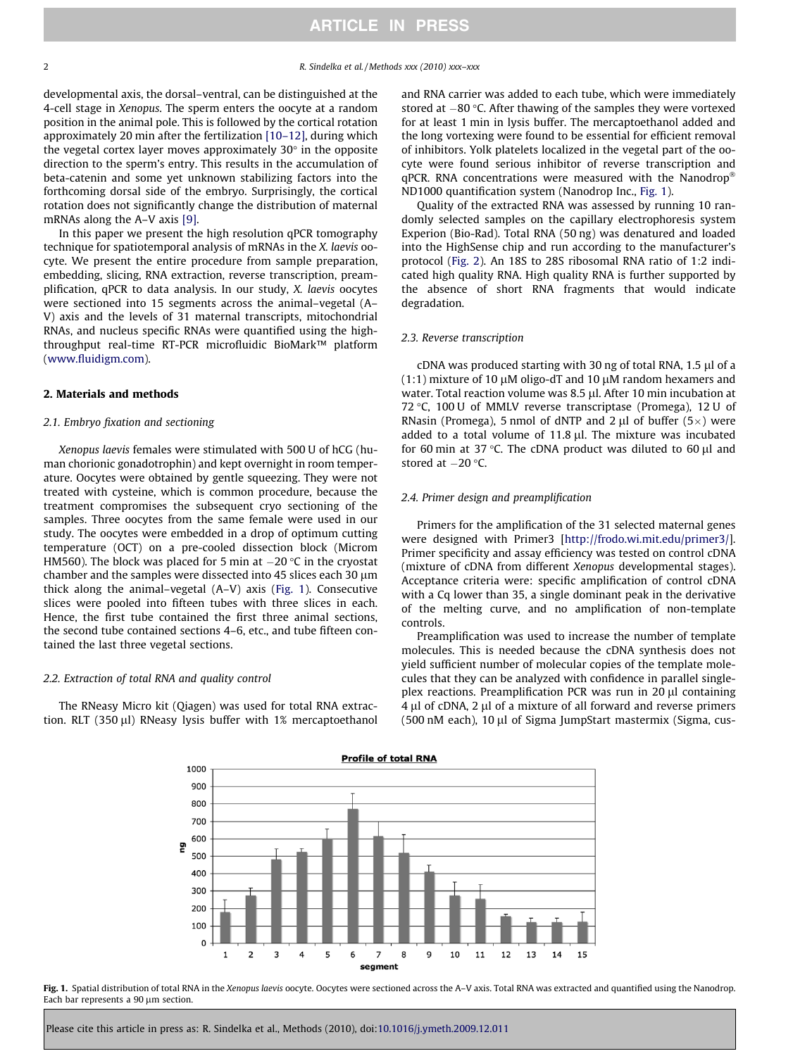<span id="page-1-0"></span>developmental axis, the dorsal–ventral, can be distinguished at the 4-cell stage in Xenopus. The sperm enters the oocyte at a random position in the animal pole. This is followed by the cortical rotation approximately 20 min after the fertilization [\[10–12\]](#page-4-0), during which the vegetal cortex layer moves approximately  $30^\circ$  in the opposite direction to the sperm's entry. This results in the accumulation of beta-catenin and some yet unknown stabilizing factors into the forthcoming dorsal side of the embryo. Surprisingly, the cortical rotation does not significantly change the distribution of maternal mRNAs along the A–V axis [\[9\].](#page-4-0)

In this paper we present the high resolution qPCR tomography technique for spatiotemporal analysis of mRNAs in the X. laevis oocyte. We present the entire procedure from sample preparation, embedding, slicing, RNA extraction, reverse transcription, preamplification, qPCR to data analysis. In our study, X. laevis oocytes were sectioned into 15 segments across the animal–vegetal (A– V) axis and the levels of 31 maternal transcripts, mitochondrial RNAs, and nucleus specific RNAs were quantified using the highthroughput real-time RT-PCR microfluidic BioMark™ platform ([www.fluidigm.com](http://www.fluidigm.com)).

## 2. Materials and methods

#### 2.1. Embryo fixation and sectioning

Xenopus laevis females were stimulated with 500 U of hCG (human chorionic gonadotrophin) and kept overnight in room temperature. Oocytes were obtained by gentle squeezing. They were not treated with cysteine, which is common procedure, because the treatment compromises the subsequent cryo sectioning of the samples. Three oocytes from the same female were used in our study. The oocytes were embedded in a drop of optimum cutting temperature (OCT) on a pre-cooled dissection block (Microm HM560). The block was placed for 5 min at  $-20$  °C in the cryostat chamber and the samples were dissected into 45 slices each 30  $\mu$ m thick along the animal–vegetal (A–V) axis (Fig. 1). Consecutive slices were pooled into fifteen tubes with three slices in each. Hence, the first tube contained the first three animal sections, the second tube contained sections 4–6, etc., and tube fifteen contained the last three vegetal sections.

#### 2.2. Extraction of total RNA and quality control

The RNeasy Micro kit (Qiagen) was used for total RNA extraction. RLT (350  $\mu$ I) RNeasy lysis buffer with 1% mercaptoethanol and RNA carrier was added to each tube, which were immediately stored at  $-80$  °C. After thawing of the samples they were vortexed for at least 1 min in lysis buffer. The mercaptoethanol added and the long vortexing were found to be essential for efficient removal of inhibitors. Yolk platelets localized in the vegetal part of the oocyte were found serious inhibitor of reverse transcription and  $qPCR$ . RNA concentrations were measured with the Nanodrop<sup>®</sup> ND1000 quantification system (Nanodrop Inc., Fig. 1).

Quality of the extracted RNA was assessed by running 10 randomly selected samples on the capillary electrophoresis system Experion (Bio-Rad). Total RNA (50 ng) was denatured and loaded into the HighSense chip and run according to the manufacturer's protocol [\(Fig. 2](#page-2-0)). An 18S to 28S ribosomal RNA ratio of 1:2 indicated high quality RNA. High quality RNA is further supported by the absence of short RNA fragments that would indicate degradation.

#### 2.3. Reverse transcription

 $cDNA$  was produced starting with 30 ng of total RNA, 1.5  $\mu$ l of a  $(1:1)$  mixture of 10  $\mu$ M oligo-dT and 10  $\mu$ M random hexamers and water. Total reaction volume was 8.5 µl. After 10 min incubation at 72 °C, 100 U of MMLV reverse transcriptase (Promega), 12 U of RNasin (Promega), 5 nmol of dNTP and 2  $\mu$ l of buffer (5 $\times$ ) were added to a total volume of  $11.8 \mu$ . The mixture was incubated for 60 min at 37 °C. The cDNA product was diluted to 60  $\mu$ l and stored at  $-20$  °C.

#### 2.4. Primer design and preamplification

Primers for the amplification of the 31 selected maternal genes were designed with Primer3 [\[http://frodo.wi.mit.edu/primer3/\]](http://frodo.wi.mit.edu/primer3/). Primer specificity and assay efficiency was tested on control cDNA (mixture of cDNA from different Xenopus developmental stages). Acceptance criteria were: specific amplification of control cDNA with a Cq lower than 35, a single dominant peak in the derivative of the melting curve, and no amplification of non-template controls.

Preamplification was used to increase the number of template molecules. This is needed because the cDNA synthesis does not yield sufficient number of molecular copies of the template molecules that they can be analyzed with confidence in parallel singleplex reactions. Preamplification PCR was run in 20 µl containing 4 µl of cDNA, 2 µl of a mixture of all forward and reverse primers (500 nM each), 10 µl of Sigma JumpStart mastermix (Sigma, cus-



Fig. 1. Spatial distribution of total RNA in the Xenopus laevis oocyte. Oocytes were sectioned across the A-V axis. Total RNA was extracted and quantified using the Nanodrop. Each bar represents a 90 µm section.

Please cite this article in press as: R. Sindelka et al., Methods (2010), doi:[10.1016/j.ymeth.2009.12.011](http://dx.doi.org/10.1016/j.ymeth.2009.12.011)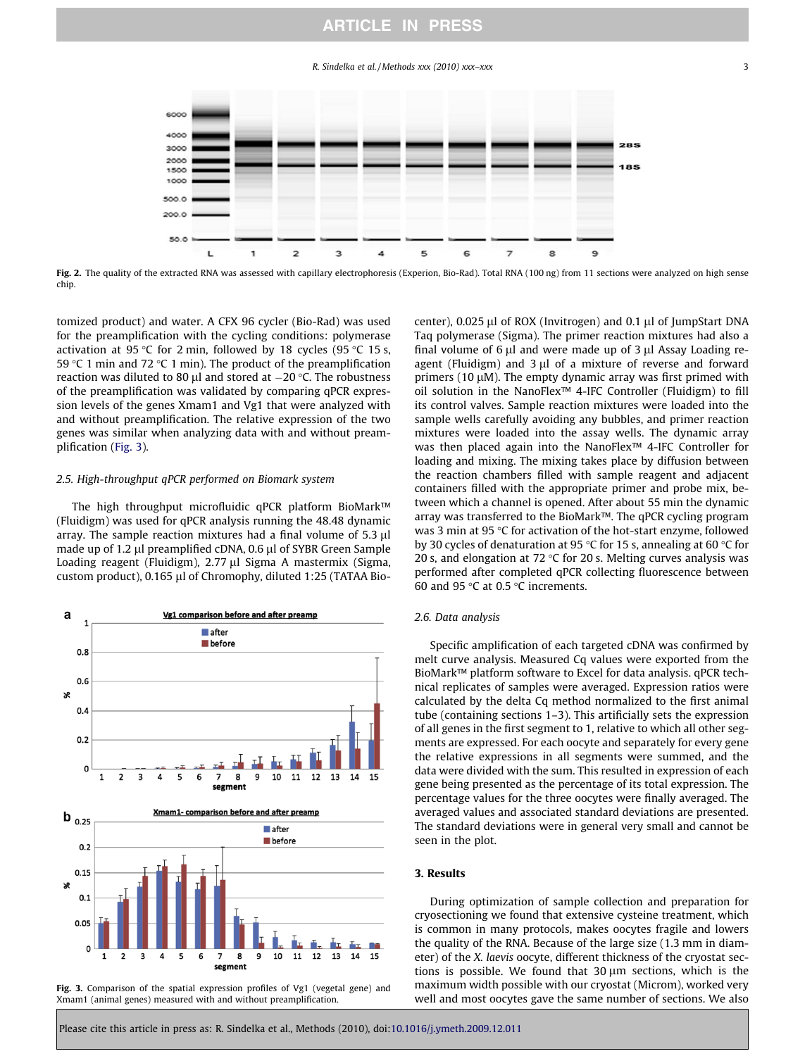# ARTICLE IN PRESS

R. Sindelka et al. / Methods xxx (2010) xxx–xxx 3

<span id="page-2-0"></span>

Fig. 2. The quality of the extracted RNA was assessed with capillary electrophoresis (Experion, Bio-Rad). Total RNA (100 ng) from 11 sections were analyzed on high sense chip.

tomized product) and water. A CFX 96 cycler (Bio-Rad) was used for the preamplification with the cycling conditions: polymerase activation at 95 °C for 2 min, followed by 18 cycles (95 °C 15 s, 59 °C 1 min and 72 °C 1 min). The product of the preamplification reaction was diluted to 80  $\mu$ l and stored at  $-20$  °C. The robustness of the preamplification was validated by comparing qPCR expression levels of the genes Xmam1 and Vg1 that were analyzed with and without preamplification. The relative expression of the two genes was similar when analyzing data with and without preamplification (Fig. 3).

# 2.5. High-throughput qPCR performed on Biomark system

The high throughput microfluidic qPCR platform BioMark™ (Fluidigm) was used for qPCR analysis running the 48.48 dynamic array. The sample reaction mixtures had a final volume of 5.3 µl made up of 1.2 µl preamplified cDNA, 0.6 µl of SYBR Green Sample Loading reagent (Fluidigm), 2.77 µl Sigma A mastermix (Sigma, custom product), 0.165 µl of Chromophy, diluted 1:25 (TATAA Bio-



Fig. 3. Comparison of the spatial expression profiles of Vg1 (vegetal gene) and Xmam1 (animal genes) measured with and without preamplification.

center),  $0.025$  µl of ROX (Invitrogen) and  $0.1$  µl of JumpStart DNA Taq polymerase (Sigma). The primer reaction mixtures had also a final volume of 6  $\mu$ l and were made up of 3  $\mu$ l Assay Loading reagent (Fluidigm) and  $3 \mu l$  of a mixture of reverse and forward primers (10  $\mu$ M). The empty dynamic array was first primed with oil solution in the NanoFlex™ 4-IFC Controller (Fluidigm) to fill its control valves. Sample reaction mixtures were loaded into the sample wells carefully avoiding any bubbles, and primer reaction mixtures were loaded into the assay wells. The dynamic array was then placed again into the NanoFlex™ 4-IFC Controller for loading and mixing. The mixing takes place by diffusion between the reaction chambers filled with sample reagent and adjacent containers filled with the appropriate primer and probe mix, between which a channel is opened. After about 55 min the dynamic array was transferred to the BioMark™. The qPCR cycling program was 3 min at 95  $\degree$ C for activation of the hot-start enzyme, followed by 30 cycles of denaturation at 95 °C for 15 s, annealing at 60 °C for 20 s, and elongation at 72  $\degree$ C for 20 s. Melting curves analysis was performed after completed qPCR collecting fluorescence between 60 and 95  $\degree$ C at 0.5  $\degree$ C increments.

## 2.6. Data analysis

Specific amplification of each targeted cDNA was confirmed by melt curve analysis. Measured Cq values were exported from the BioMark™ platform software to Excel for data analysis. qPCR technical replicates of samples were averaged. Expression ratios were calculated by the delta Cq method normalized to the first animal tube (containing sections 1–3). This artificially sets the expression of all genes in the first segment to 1, relative to which all other segments are expressed. For each oocyte and separately for every gene the relative expressions in all segments were summed, and the data were divided with the sum. This resulted in expression of each gene being presented as the percentage of its total expression. The percentage values for the three oocytes were finally averaged. The averaged values and associated standard deviations are presented. The standard deviations were in general very small and cannot be seen in the plot.

#### 3. Results

During optimization of sample collection and preparation for cryosectioning we found that extensive cysteine treatment, which is common in many protocols, makes oocytes fragile and lowers the quality of the RNA. Because of the large size (1.3 mm in diameter) of the X. laevis oocyte, different thickness of the cryostat sections is possible. We found that  $30 \mu m$  sections, which is the maximum width possible with our cryostat (Microm), worked very well and most oocytes gave the same number of sections. We also

Please cite this article in press as: R. Sindelka et al., Methods (2010), doi:[10.1016/j.ymeth.2009.12.011](http://dx.doi.org/10.1016/j.ymeth.2009.12.011)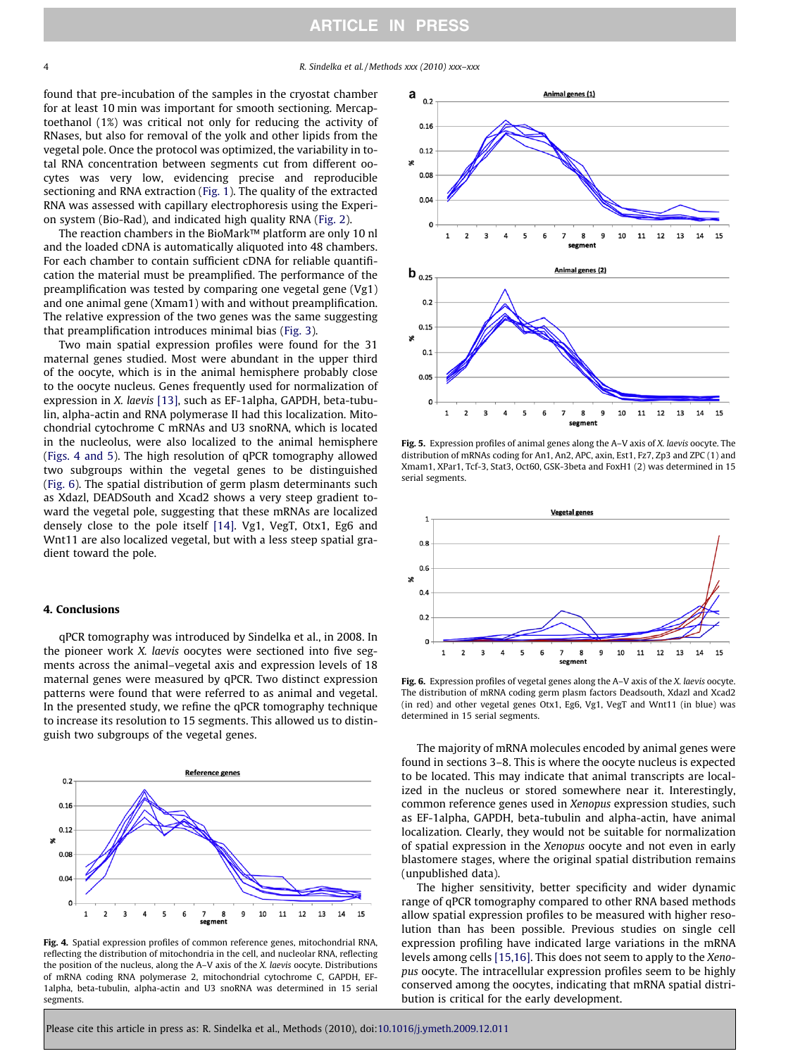4 R. Sindelka et al. / Methods xxx (2010) xxx–xxx

found that pre-incubation of the samples in the cryostat chamber for at least 10 min was important for smooth sectioning. Mercaptoethanol (1%) was critical not only for reducing the activity of RNases, but also for removal of the yolk and other lipids from the vegetal pole. Once the protocol was optimized, the variability in total RNA concentration between segments cut from different oocytes was very low, evidencing precise and reproducible sectioning and RNA extraction [\(Fig. 1](#page-1-0)). The quality of the extracted RNA was assessed with capillary electrophoresis using the Experion system (Bio-Rad), and indicated high quality RNA [\(Fig. 2\)](#page-2-0).

The reaction chambers in the BioMark™ platform are only 10 nl and the loaded cDNA is automatically aliquoted into 48 chambers. For each chamber to contain sufficient cDNA for reliable quantification the material must be preamplified. The performance of the preamplification was tested by comparing one vegetal gene (Vg1) and one animal gene (Xmam1) with and without preamplification. The relative expression of the two genes was the same suggesting that preamplification introduces minimal bias ([Fig. 3](#page-2-0)).

Two main spatial expression profiles were found for the 31 maternal genes studied. Most were abundant in the upper third of the oocyte, which is in the animal hemisphere probably close to the oocyte nucleus. Genes frequently used for normalization of expression in X. laevis [\[13\],](#page-4-0) such as EF-1alpha, GAPDH, beta-tubulin, alpha-actin and RNA polymerase II had this localization. Mitochondrial cytochrome C mRNAs and U3 snoRNA, which is located in the nucleolus, were also localized to the animal hemisphere (Figs. 4 and 5). The high resolution of qPCR tomography allowed two subgroups within the vegetal genes to be distinguished (Fig. 6). The spatial distribution of germ plasm determinants such as Xdazl, DEADSouth and Xcad2 shows a very steep gradient toward the vegetal pole, suggesting that these mRNAs are localized densely close to the pole itself [\[14\].](#page-4-0) Vg1, VegT, Otx1, Eg6 and Wnt11 are also localized vegetal, but with a less steep spatial gradient toward the pole.

#### 4. Conclusions

qPCR tomography was introduced by Sindelka et al., in 2008. In the pioneer work X. laevis oocytes were sectioned into five segments across the animal–vegetal axis and expression levels of 18 maternal genes were measured by qPCR. Two distinct expression patterns were found that were referred to as animal and vegetal. In the presented study, we refine the qPCR tomography technique to increase its resolution to 15 segments. This allowed us to distinguish two subgroups of the vegetal genes.



Fig. 4. Spatial expression profiles of common reference genes, mitochondrial RNA, reflecting the distribution of mitochondria in the cell, and nucleolar RNA, reflecting the position of the nucleus, along the A–V axis of the X. laevis oocyte. Distributions of mRNA coding RNA polymerase 2, mitochondrial cytochrome C, GAPDH, EF-1alpha, beta-tubulin, alpha-actin and U3 snoRNA was determined in 15 serial segments.



Fig. 5. Expression profiles of animal genes along the A-V axis of X. laevis oocyte. The distribution of mRNAs coding for An1, An2, APC, axin, Est1, Fz7, Zp3 and ZPC (1) and Xmam1, XPar1, Tcf-3, Stat3, Oct60, GSK-3beta and FoxH1 (2) was determined in 15 serial segments.



Fig. 6. Expression profiles of vegetal genes along the A-V axis of the X. laevis oocyte. The distribution of mRNA coding germ plasm factors Deadsouth, Xdazl and Xcad2 (in red) and other vegetal genes Otx1, Eg6, Vg1, VegT and Wnt11 (in blue) was determined in 15 serial segments.

The majority of mRNA molecules encoded by animal genes were found in sections 3–8. This is where the oocyte nucleus is expected to be located. This may indicate that animal transcripts are localized in the nucleus or stored somewhere near it. Interestingly, common reference genes used in Xenopus expression studies, such as EF-1alpha, GAPDH, beta-tubulin and alpha-actin, have animal localization. Clearly, they would not be suitable for normalization of spatial expression in the Xenopus oocyte and not even in early blastomere stages, where the original spatial distribution remains (unpublished data).

The higher sensitivity, better specificity and wider dynamic range of qPCR tomography compared to other RNA based methods allow spatial expression profiles to be measured with higher resolution than has been possible. Previous studies on single cell expression profiling have indicated large variations in the mRNA levels among cells [\[15,16\]](#page-4-0). This does not seem to apply to the Xenopus oocyte. The intracellular expression profiles seem to be highly conserved among the oocytes, indicating that mRNA spatial distribution is critical for the early development.